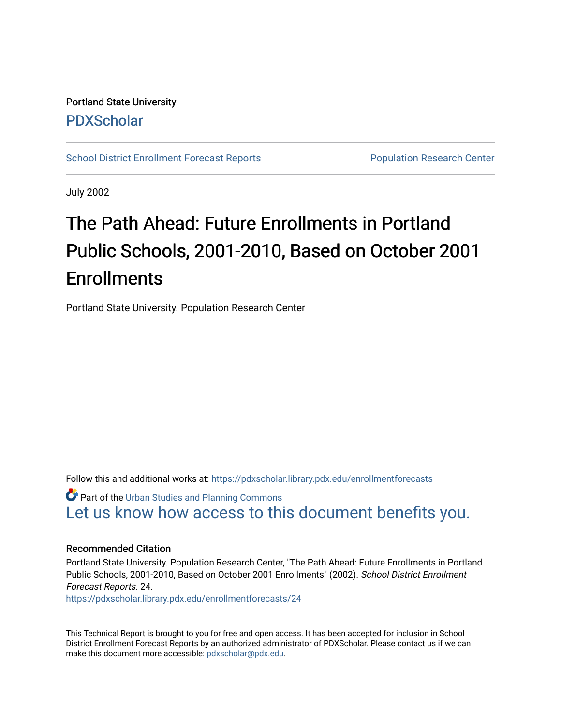Portland State University [PDXScholar](https://pdxscholar.library.pdx.edu/)

[School District Enrollment Forecast Reports](https://pdxscholar.library.pdx.edu/enrollmentforecasts) **Population Research Center** Population Research Center

July 2002

# The Path Ahead: Future Enrollments in Portland Public Schools, 2001-2010, Based on October 2001 **Enrollments**

Portland State University. Population Research Center

Follow this and additional works at: [https://pdxscholar.library.pdx.edu/enrollmentforecasts](https://pdxscholar.library.pdx.edu/enrollmentforecasts?utm_source=pdxscholar.library.pdx.edu%2Fenrollmentforecasts%2F24&utm_medium=PDF&utm_campaign=PDFCoverPages) 

**Part of the [Urban Studies and Planning Commons](http://network.bepress.com/hgg/discipline/436?utm_source=pdxscholar.library.pdx.edu%2Fenrollmentforecasts%2F24&utm_medium=PDF&utm_campaign=PDFCoverPages)** [Let us know how access to this document benefits you.](http://library.pdx.edu/services/pdxscholar-services/pdxscholar-feedback/?ref=https://pdxscholar.library.pdx.edu/enrollmentforecasts/24) 

## Recommended Citation

Portland State University. Population Research Center, "The Path Ahead: Future Enrollments in Portland Public Schools, 2001-2010, Based on October 2001 Enrollments" (2002). School District Enrollment Forecast Reports. 24.

[https://pdxscholar.library.pdx.edu/enrollmentforecasts/24](https://pdxscholar.library.pdx.edu/enrollmentforecasts/24?utm_source=pdxscholar.library.pdx.edu%2Fenrollmentforecasts%2F24&utm_medium=PDF&utm_campaign=PDFCoverPages)

This Technical Report is brought to you for free and open access. It has been accepted for inclusion in School District Enrollment Forecast Reports by an authorized administrator of PDXScholar. Please contact us if we can make this document more accessible: [pdxscholar@pdx.edu.](mailto:pdxscholar@pdx.edu)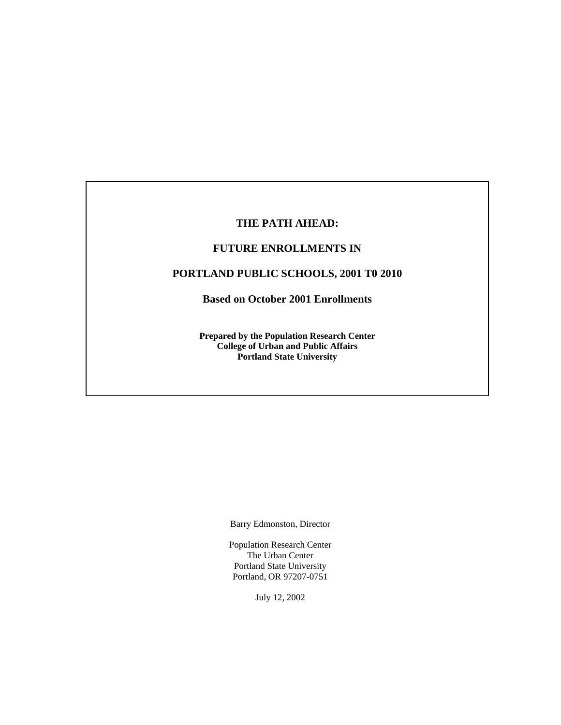## **THE PATH AHEAD:**

## **FUTURE ENROLLMENTS IN**

## **PORTLAND PUBLIC SCHOOLS, 2001 T0 2010**

**Based on October 2001 Enrollments**

**Prepared by the Population Research Center College of Urban and Public Affairs Portland State University** 

Barry Edmonston, Director

Population Research Center The Urban Center Portland State University Portland, OR 97207-0751

July 12, 2002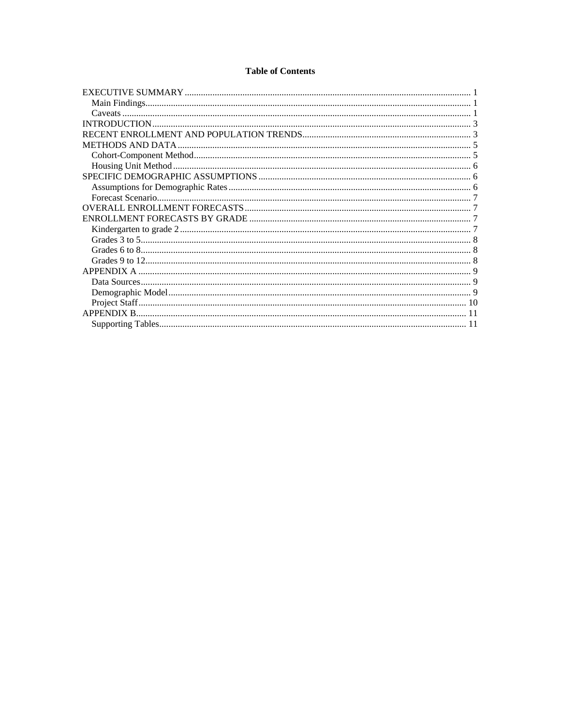### **Table of Contents**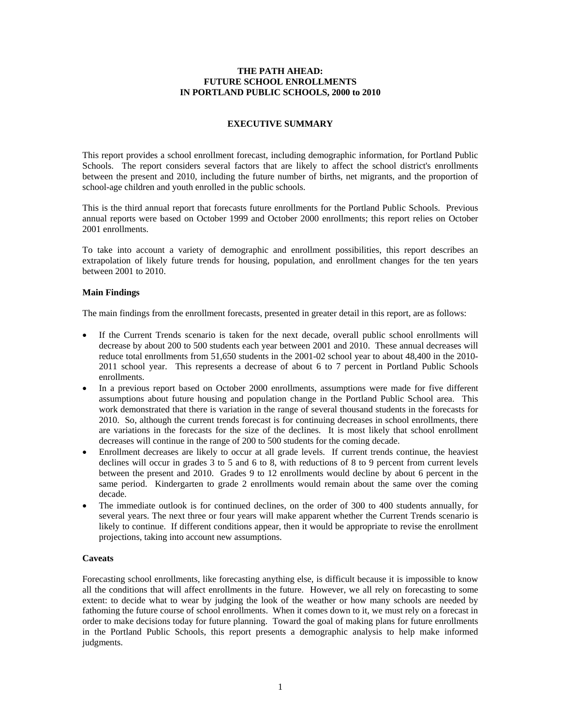#### **THE PATH AHEAD: FUTURE SCHOOL ENROLLMENTS IN PORTLAND PUBLIC SCHOOLS, 2000 to 2010**

#### **EXECUTIVE SUMMARY**

This report provides a school enrollment forecast, including demographic information, for Portland Public Schools. The report considers several factors that are likely to affect the school district's enrollments between the present and 2010, including the future number of births, net migrants, and the proportion of school-age children and youth enrolled in the public schools.

This is the third annual report that forecasts future enrollments for the Portland Public Schools. Previous annual reports were based on October 1999 and October 2000 enrollments; this report relies on October 2001 enrollments.

To take into account a variety of demographic and enrollment possibilities, this report describes an extrapolation of likely future trends for housing, population, and enrollment changes for the ten years between 2001 to 2010.

#### **Main Findings**

The main findings from the enrollment forecasts, presented in greater detail in this report, are as follows:

- If the Current Trends scenario is taken for the next decade, overall public school enrollments will decrease by about 200 to 500 students each year between 2001 and 2010. These annual decreases will reduce total enrollments from 51,650 students in the 2001-02 school year to about 48,400 in the 2010- 2011 school year. This represents a decrease of about 6 to 7 percent in Portland Public Schools enrollments.
- In a previous report based on October 2000 enrollments, assumptions were made for five different assumptions about future housing and population change in the Portland Public School area. This work demonstrated that there is variation in the range of several thousand students in the forecasts for 2010. So, although the current trends forecast is for continuing decreases in school enrollments, there are variations in the forecasts for the size of the declines. It is most likely that school enrollment decreases will continue in the range of 200 to 500 students for the coming decade.
- Enrollment decreases are likely to occur at all grade levels. If current trends continue, the heaviest declines will occur in grades 3 to 5 and 6 to 8, with reductions of 8 to 9 percent from current levels between the present and 2010. Grades 9 to 12 enrollments would decline by about 6 percent in the same period. Kindergarten to grade 2 enrollments would remain about the same over the coming decade.
- The immediate outlook is for continued declines, on the order of 300 to 400 students annually, for several years. The next three or four years will make apparent whether the Current Trends scenario is likely to continue. If different conditions appear, then it would be appropriate to revise the enrollment projections, taking into account new assumptions.

#### **Caveats**

Forecasting school enrollments, like forecasting anything else, is difficult because it is impossible to know all the conditions that will affect enrollments in the future. However, we all rely on forecasting to some extent: to decide what to wear by judging the look of the weather or how many schools are needed by fathoming the future course of school enrollments. When it comes down to it, we must rely on a forecast in order to make decisions today for future planning. Toward the goal of making plans for future enrollments in the Portland Public Schools, this report presents a demographic analysis to help make informed judgments.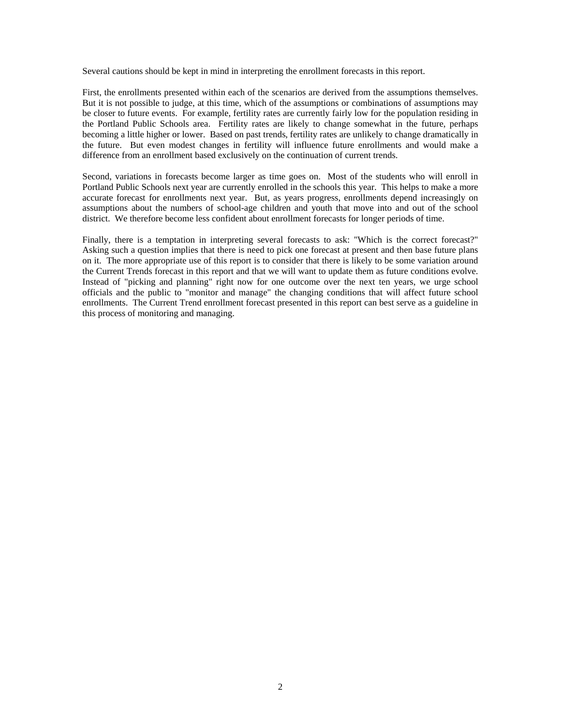Several cautions should be kept in mind in interpreting the enrollment forecasts in this report.

First, the enrollments presented within each of the scenarios are derived from the assumptions themselves. But it is not possible to judge, at this time, which of the assumptions or combinations of assumptions may be closer to future events. For example, fertility rates are currently fairly low for the population residing in the Portland Public Schools area. Fertility rates are likely to change somewhat in the future, perhaps becoming a little higher or lower. Based on past trends, fertility rates are unlikely to change dramatically in the future. But even modest changes in fertility will influence future enrollments and would make a difference from an enrollment based exclusively on the continuation of current trends.

Second, variations in forecasts become larger as time goes on. Most of the students who will enroll in Portland Public Schools next year are currently enrolled in the schools this year. This helps to make a more accurate forecast for enrollments next year. But, as years progress, enrollments depend increasingly on assumptions about the numbers of school-age children and youth that move into and out of the school district. We therefore become less confident about enrollment forecasts for longer periods of time.

Finally, there is a temptation in interpreting several forecasts to ask: "Which is the correct forecast?" Asking such a question implies that there is need to pick one forecast at present and then base future plans on it. The more appropriate use of this report is to consider that there is likely to be some variation around the Current Trends forecast in this report and that we will want to update them as future conditions evolve. Instead of "picking and planning" right now for one outcome over the next ten years, we urge school officials and the public to "monitor and manage" the changing conditions that will affect future school enrollments. The Current Trend enrollment forecast presented in this report can best serve as a guideline in this process of monitoring and managing.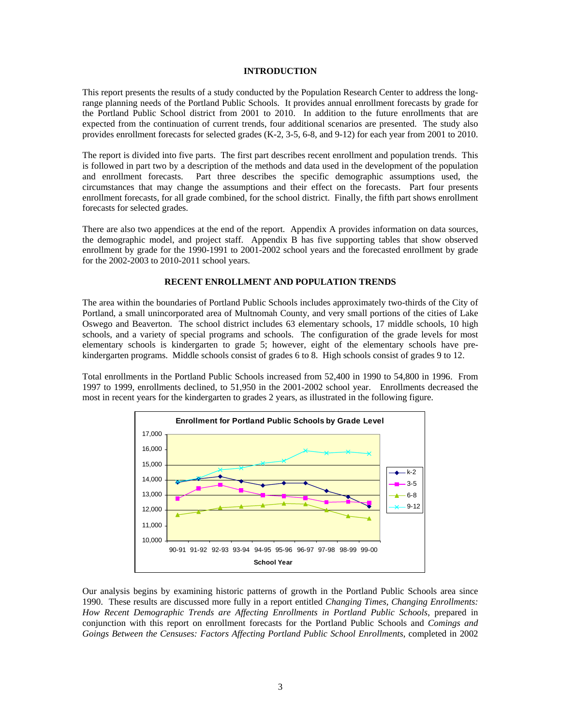#### **INTRODUCTION**

This report presents the results of a study conducted by the Population Research Center to address the longrange planning needs of the Portland Public Schools. It provides annual enrollment forecasts by grade for the Portland Public School district from 2001 to 2010. In addition to the future enrollments that are expected from the continuation of current trends, four additional scenarios are presented. The study also provides enrollment forecasts for selected grades (K-2, 3-5, 6-8, and 9-12) for each year from 2001 to 2010.

The report is divided into five parts. The first part describes recent enrollment and population trends. This is followed in part two by a description of the methods and data used in the development of the population and enrollment forecasts. Part three describes the specific demographic assumptions used, the circumstances that may change the assumptions and their effect on the forecasts. Part four presents enrollment forecasts, for all grade combined, for the school district. Finally, the fifth part shows enrollment forecasts for selected grades.

There are also two appendices at the end of the report. Appendix A provides information on data sources, the demographic model, and project staff. Appendix B has five supporting tables that show observed enrollment by grade for the 1990-1991 to 2001-2002 school years and the forecasted enrollment by grade for the 2002-2003 to 2010-2011 school years.

#### **RECENT ENROLLMENT AND POPULATION TRENDS**

The area within the boundaries of Portland Public Schools includes approximately two-thirds of the City of Portland, a small unincorporated area of Multnomah County, and very small portions of the cities of Lake Oswego and Beaverton. The school district includes 63 elementary schools, 17 middle schools, 10 high schools, and a variety of special programs and schools. The configuration of the grade levels for most elementary schools is kindergarten to grade 5; however, eight of the elementary schools have prekindergarten programs. Middle schools consist of grades 6 to 8. High schools consist of grades 9 to 12.

Total enrollments in the Portland Public Schools increased from 52,400 in 1990 to 54,800 in 1996. From 1997 to 1999, enrollments declined, to 51,950 in the 2001-2002 school year. Enrollments decreased the most in recent years for the kindergarten to grades 2 years, as illustrated in the following figure.



Our analysis begins by examining historic patterns of growth in the Portland Public Schools area since 1990. These results are discussed more fully in a report entitled *Changing Times, Changing Enrollments: How Recent Demographic Trends are Affecting Enrollments in Portland Public Schools*, prepared in conjunction with this report on enrollment forecasts for the Portland Public Schools and *Comings and Goings Between the Censuses: Factors Affecting Portland Public School Enrollments*, completed in 2002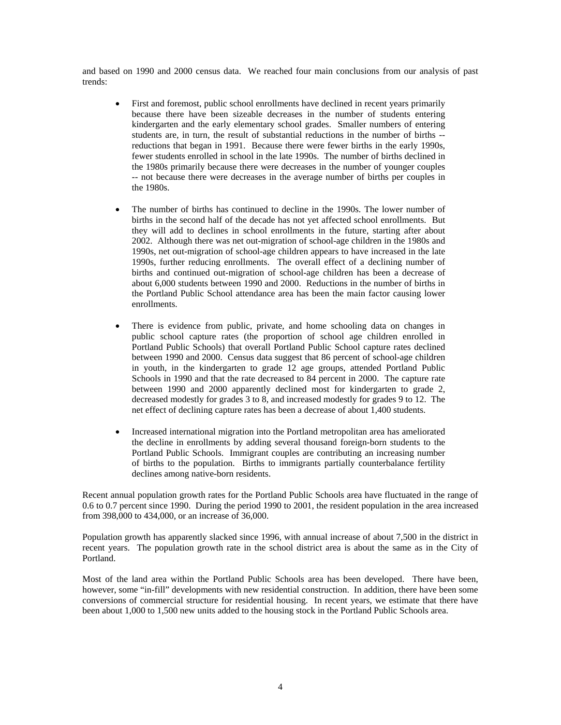and based on 1990 and 2000 census data. We reached four main conclusions from our analysis of past trends:

- First and foremost, public school enrollments have declined in recent years primarily because there have been sizeable decreases in the number of students entering kindergarten and the early elementary school grades. Smaller numbers of entering students are, in turn, the result of substantial reductions in the number of births - reductions that began in 1991. Because there were fewer births in the early 1990s, fewer students enrolled in school in the late 1990s. The number of births declined in the 1980s primarily because there were decreases in the number of younger couples -- not because there were decreases in the average number of births per couples in the 1980s.
- The number of births has continued to decline in the 1990s. The lower number of births in the second half of the decade has not yet affected school enrollments. But they will add to declines in school enrollments in the future, starting after about 2002. Although there was net out-migration of school-age children in the 1980s and 1990s, net out-migration of school-age children appears to have increased in the late 1990s, further reducing enrollments. The overall effect of a declining number of births and continued out-migration of school-age children has been a decrease of about 6,000 students between 1990 and 2000. Reductions in the number of births in the Portland Public School attendance area has been the main factor causing lower enrollments.
- There is evidence from public, private, and home schooling data on changes in public school capture rates (the proportion of school age children enrolled in Portland Public Schools) that overall Portland Public School capture rates declined between 1990 and 2000. Census data suggest that 86 percent of school-age children in youth, in the kindergarten to grade 12 age groups, attended Portland Public Schools in 1990 and that the rate decreased to 84 percent in 2000. The capture rate between 1990 and 2000 apparently declined most for kindergarten to grade 2, decreased modestly for grades 3 to 8, and increased modestly for grades 9 to 12. The net effect of declining capture rates has been a decrease of about 1,400 students.
- Increased international migration into the Portland metropolitan area has ameliorated the decline in enrollments by adding several thousand foreign-born students to the Portland Public Schools. Immigrant couples are contributing an increasing number of births to the population. Births to immigrants partially counterbalance fertility declines among native-born residents.

Recent annual population growth rates for the Portland Public Schools area have fluctuated in the range of 0.6 to 0.7 percent since 1990. During the period 1990 to 2001, the resident population in the area increased from 398,000 to 434,000, or an increase of 36,000.

Population growth has apparently slacked since 1996, with annual increase of about 7,500 in the district in recent years. The population growth rate in the school district area is about the same as in the City of Portland.

Most of the land area within the Portland Public Schools area has been developed. There have been, however, some "in-fill" developments with new residential construction. In addition, there have been some conversions of commercial structure for residential housing. In recent years, we estimate that there have been about 1,000 to 1,500 new units added to the housing stock in the Portland Public Schools area.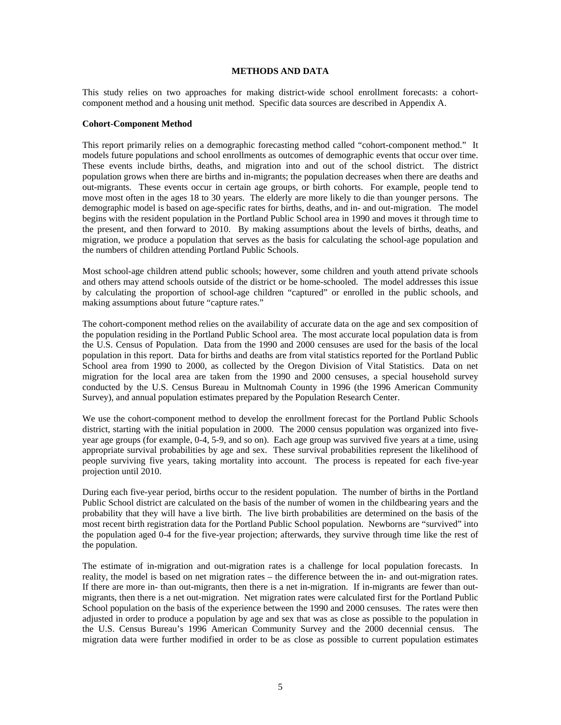#### **METHODS AND DATA**

This study relies on two approaches for making district-wide school enrollment forecasts: a cohortcomponent method and a housing unit method. Specific data sources are described in Appendix A.

#### **Cohort-Component Method**

This report primarily relies on a demographic forecasting method called "cohort-component method." It models future populations and school enrollments as outcomes of demographic events that occur over time. These events include births, deaths, and migration into and out of the school district. The district population grows when there are births and in-migrants; the population decreases when there are deaths and out-migrants. These events occur in certain age groups, or birth cohorts. For example, people tend to move most often in the ages 18 to 30 years. The elderly are more likely to die than younger persons. The demographic model is based on age-specific rates for births, deaths, and in- and out-migration. The model begins with the resident population in the Portland Public School area in 1990 and moves it through time to the present, and then forward to 2010. By making assumptions about the levels of births, deaths, and migration, we produce a population that serves as the basis for calculating the school-age population and the numbers of children attending Portland Public Schools.

Most school-age children attend public schools; however, some children and youth attend private schools and others may attend schools outside of the district or be home-schooled. The model addresses this issue by calculating the proportion of school-age children "captured" or enrolled in the public schools, and making assumptions about future "capture rates."

The cohort-component method relies on the availability of accurate data on the age and sex composition of the population residing in the Portland Public School area. The most accurate local population data is from the U.S. Census of Population. Data from the 1990 and 2000 censuses are used for the basis of the local population in this report. Data for births and deaths are from vital statistics reported for the Portland Public School area from 1990 to 2000, as collected by the Oregon Division of Vital Statistics. Data on net migration for the local area are taken from the 1990 and 2000 censuses, a special household survey conducted by the U.S. Census Bureau in Multnomah County in 1996 (the 1996 American Community Survey), and annual population estimates prepared by the Population Research Center.

We use the cohort-component method to develop the enrollment forecast for the Portland Public Schools district, starting with the initial population in 2000. The 2000 census population was organized into fiveyear age groups (for example, 0-4, 5-9, and so on). Each age group was survived five years at a time, using appropriate survival probabilities by age and sex. These survival probabilities represent the likelihood of people surviving five years, taking mortality into account. The process is repeated for each five-year projection until 2010.

During each five-year period, births occur to the resident population. The number of births in the Portland Public School district are calculated on the basis of the number of women in the childbearing years and the probability that they will have a live birth. The live birth probabilities are determined on the basis of the most recent birth registration data for the Portland Public School population. Newborns are "survived" into the population aged 0-4 for the five-year projection; afterwards, they survive through time like the rest of the population.

The estimate of in-migration and out-migration rates is a challenge for local population forecasts. In reality, the model is based on net migration rates – the difference between the in- and out-migration rates. If there are more in- than out-migrants, then there is a net in-migration. If in-migrants are fewer than outmigrants, then there is a net out-migration. Net migration rates were calculated first for the Portland Public School population on the basis of the experience between the 1990 and 2000 censuses. The rates were then adjusted in order to produce a population by age and sex that was as close as possible to the population in the U.S. Census Bureau's 1996 American Community Survey and the 2000 decennial census. The migration data were further modified in order to be as close as possible to current population estimates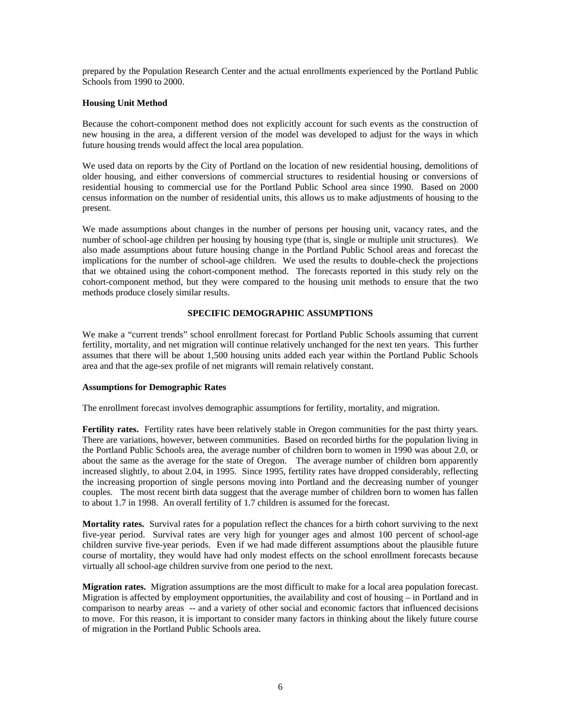prepared by the Population Research Center and the actual enrollments experienced by the Portland Public Schools from 1990 to 2000.

#### **Housing Unit Method**

Because the cohort-component method does not explicitly account for such events as the construction of new housing in the area, a different version of the model was developed to adjust for the ways in which future housing trends would affect the local area population.

We used data on reports by the City of Portland on the location of new residential housing, demolitions of older housing, and either conversions of commercial structures to residential housing or conversions of residential housing to commercial use for the Portland Public School area since 1990. Based on 2000 census information on the number of residential units, this allows us to make adjustments of housing to the present.

We made assumptions about changes in the number of persons per housing unit, vacancy rates, and the number of school-age children per housing by housing type (that is, single or multiple unit structures). We also made assumptions about future housing change in the Portland Public School areas and forecast the implications for the number of school-age children. We used the results to double-check the projections that we obtained using the cohort-component method. The forecasts reported in this study rely on the cohort-component method, but they were compared to the housing unit methods to ensure that the two methods produce closely similar results.

#### **SPECIFIC DEMOGRAPHIC ASSUMPTIONS**

We make a "current trends" school enrollment forecast for Portland Public Schools assuming that current fertility, mortality, and net migration will continue relatively unchanged for the next ten years. This further assumes that there will be about 1,500 housing units added each year within the Portland Public Schools area and that the age-sex profile of net migrants will remain relatively constant.

#### **Assumptions for Demographic Rates**

The enrollment forecast involves demographic assumptions for fertility, mortality, and migration.

**Fertility rates.** Fertility rates have been relatively stable in Oregon communities for the past thirty years. There are variations, however, between communities. Based on recorded births for the population living in the Portland Public Schools area, the average number of children born to women in 1990 was about 2.0, or about the same as the average for the state of Oregon. The average number of children born apparently increased slightly, to about 2.04, in 1995. Since 1995, fertility rates have dropped considerably, reflecting the increasing proportion of single persons moving into Portland and the decreasing number of younger couples. The most recent birth data suggest that the average number of children born to women has fallen to about 1.7 in 1998. An overall fertility of 1.7 children is assumed for the forecast.

**Mortality rates.** Survival rates for a population reflect the chances for a birth cohort surviving to the next five-year period. Survival rates are very high for younger ages and almost 100 percent of school-age children survive five-year periods. Even if we had made different assumptions about the plausible future course of mortality, they would have had only modest effects on the school enrollment forecasts because virtually all school-age children survive from one period to the next.

**Migration rates.** Migration assumptions are the most difficult to make for a local area population forecast. Migration is affected by employment opportunities, the availability and cost of housing – in Portland and in comparison to nearby areas -- and a variety of other social and economic factors that influenced decisions to move. For this reason, it is important to consider many factors in thinking about the likely future course of migration in the Portland Public Schools area.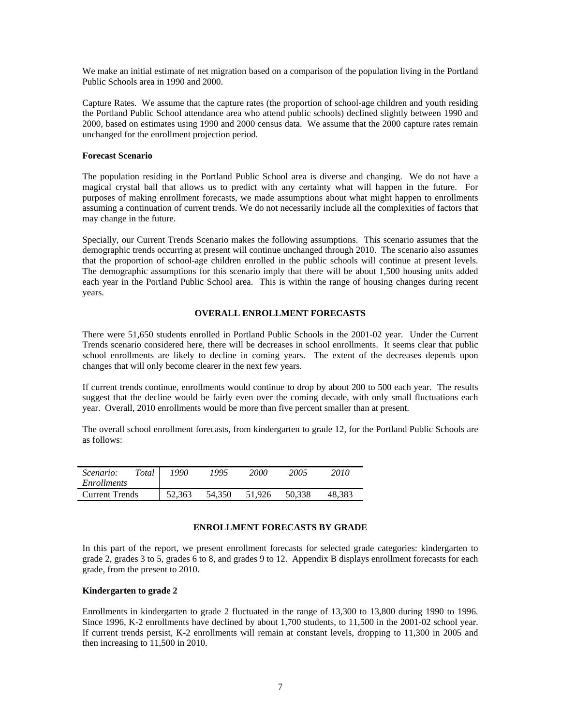We make an initial estimate of net migration based on a comparison of the population living in the Portland Public Schools area in 1990 and 2000.

Capture Rates. We assume that the capture rates (the proportion of school-age children and youth residing the Portland Public School attendance area who attend public schools) declined slightly between 1990 and 2000, based on estimates using 1990 and 2000 census data. We assume that the 2000 capture rates remain unchanged for the enrollment projection period.

#### **Forecast Scenario**

The population residing in the Portland Public School area is diverse and changing. We do not have a magical crystal ball that allows us to predict with any certainty what will happen in the future. For purposes of making enrollment forecasts, we made assumptions about what might happen to enrollments assuming a continuation of current trends. We do not necessarily include all the complexities of factors that may change in the future.

Specially, our Current Trends Scenario makes the following assumptions. This scenario assumes that the demographic trends occurring at present will continue unchanged through 2010. The scenario also assumes that the proportion of school-age children enrolled in the public schools will continue at present levels. The demographic assumptions for this scenario imply that there will be about 1,500 housing units added each year in the Portland Public School area. This is within the range of housing changes during recent years.

#### **OVERALL ENROLLMENT FORECASTS**

There were 51,650 students enrolled in Portland Public Schools in the 2001-02 year. Under the Current Trends scenario considered here, there will be decreases in school enrollments. It seems clear that public school enrollments are likely to decline in coming years. The extent of the decreases depends upon changes that will only become clearer in the next few years.

If current trends continue, enrollments would continue to drop by about 200 to 500 each year. The results suggest that the decline would be fairly even over the coming decade, with only small fluctuations each year. Overall, 2010 enrollments would be more than five percent smaller than at present.

The overall school enrollment forecasts, from kindergarten to grade 12, for the Portland Public Schools are as follows:

| Total<br><i>Scenario:</i><br>Enrollments | 1990   | 1995   | 2000   | 2005   | 2010   |
|------------------------------------------|--------|--------|--------|--------|--------|
| <b>Current Trends</b>                    | 52.363 | 54,350 | 51.926 | 50.338 | 48.383 |

#### **ENROLLMENT FORECASTS BY GRADE**

In this part of the report, we present enrollment forecasts for selected grade categories: kindergarten to grade 2, grades 3 to 5, grades 6 to 8, and grades 9 to 12. Appendix B displays enrollment forecasts for each grade, from the present to 2010.

#### **Kindergarten to grade 2**

Enrollments in kindergarten to grade 2 fluctuated in the range of 13,300 to 13,800 during 1990 to 1996. Since 1996, K-2 enrollments have declined by about 1,700 students, to 11,500 in the 2001-02 school year. If current trends persist, K-2 enrollments will remain at constant levels, dropping to 11,300 in 2005 and then increasing to 11,500 in 2010.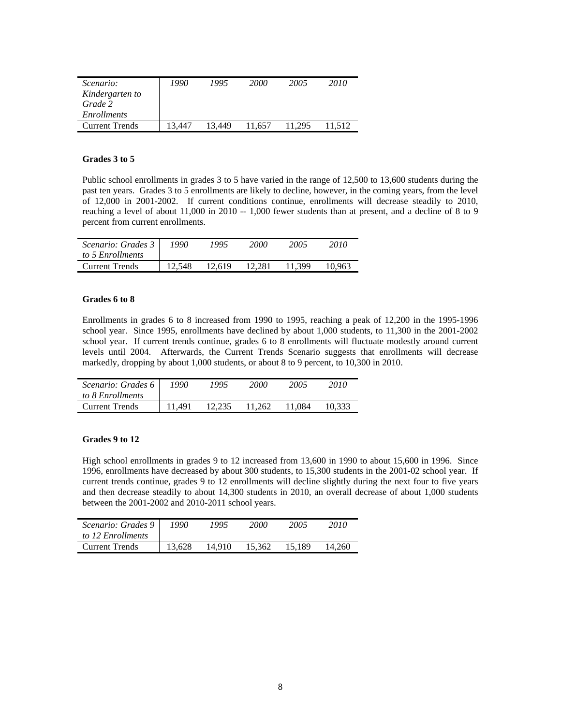| Scenario:             | 1990  | 1995   | 2000   | 2005   | 2010   |
|-----------------------|-------|--------|--------|--------|--------|
| Kindergarten to       |       |        |        |        |        |
| Grade 2               |       |        |        |        |        |
| <i>Enrollments</i>    |       |        |        |        |        |
| <b>Current Trends</b> | 3 447 | 13.449 | 11.657 | 11.295 | 11.512 |

#### **Grades 3 to 5**

Public school enrollments in grades 3 to 5 have varied in the range of 12,500 to 13,600 students during the past ten years. Grades 3 to 5 enrollments are likely to decline, however, in the coming years, from the level of 12,000 in 2001-2002. If current conditions continue, enrollments will decrease steadily to 2010, reaching a level of about 11,000 in 2010 -- 1,000 fewer students than at present, and a decline of 8 to 9 percent from current enrollments.

| Scenario: Grades 3<br>to 5 Enrollments | 1990   | 1995   | 2000   | 2005   | 2010   |
|----------------------------------------|--------|--------|--------|--------|--------|
| <b>Current Trends</b>                  | 12.548 | 12.619 | 12.281 | 11.399 | 10.963 |

#### **Grades 6 to 8**

Enrollments in grades 6 to 8 increased from 1990 to 1995, reaching a peak of 12,200 in the 1995-1996 school year. Since 1995, enrollments have declined by about 1,000 students, to 11,300 in the 2001-2002 school year. If current trends continue, grades 6 to 8 enrollments will fluctuate modestly around current levels until 2004. Afterwards, the Current Trends Scenario suggests that enrollments will decrease markedly, dropping by about 1,000 students, or about 8 to 9 percent, to 10,300 in 2010.

| Scenario: Grades 6 | 1990   | 1995   | 2000   | 2005   | 2010   |
|--------------------|--------|--------|--------|--------|--------|
| to 8 Enrollments   |        |        |        |        |        |
| Current Trends     | 11.491 | 12.235 | 11.262 | 11.084 | 10.333 |

#### **Grades 9 to 12**

High school enrollments in grades 9 to 12 increased from 13,600 in 1990 to about 15,600 in 1996. Since 1996, enrollments have decreased by about 300 students, to 15,300 students in the 2001-02 school year. If current trends continue, grades 9 to 12 enrollments will decline slightly during the next four to five years and then decrease steadily to about 14,300 students in 2010, an overall decrease of about 1,000 students between the 2001-2002 and 2010-2011 school years.

| Scenario: Grades 9<br>to 12 Enrollments | 1990   | 1995   | 2000   | 2005   | 2010   |
|-----------------------------------------|--------|--------|--------|--------|--------|
| <b>Current Trends</b>                   | 13.628 | 14.910 | 15.362 | 15.189 | 14.260 |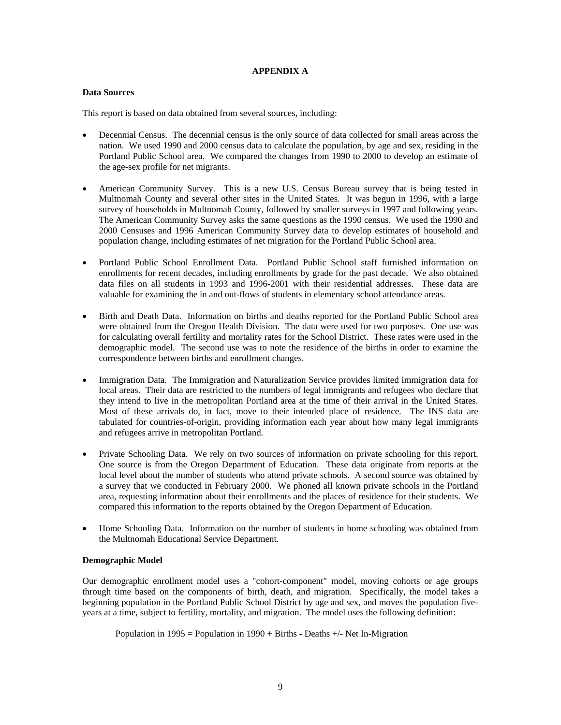#### **APPENDIX A**

#### **Data Sources**

This report is based on data obtained from several sources, including:

- Decennial Census. The decennial census is the only source of data collected for small areas across the nation. We used 1990 and 2000 census data to calculate the population, by age and sex, residing in the Portland Public School area. We compared the changes from 1990 to 2000 to develop an estimate of the age-sex profile for net migrants.
- American Community Survey. This is a new U.S. Census Bureau survey that is being tested in Multnomah County and several other sites in the United States. It was begun in 1996, with a large survey of households in Multnomah County, followed by smaller surveys in 1997 and following years. The American Community Survey asks the same questions as the 1990 census. We used the 1990 and 2000 Censuses and 1996 American Community Survey data to develop estimates of household and population change, including estimates of net migration for the Portland Public School area.
- Portland Public School Enrollment Data. Portland Public School staff furnished information on enrollments for recent decades, including enrollments by grade for the past decade. We also obtained data files on all students in 1993 and 1996-2001 with their residential addresses. These data are valuable for examining the in and out-flows of students in elementary school attendance areas.
- Birth and Death Data. Information on births and deaths reported for the Portland Public School area were obtained from the Oregon Health Division. The data were used for two purposes. One use was for calculating overall fertility and mortality rates for the School District. These rates were used in the demographic model. The second use was to note the residence of the births in order to examine the correspondence between births and enrollment changes.
- Immigration Data. The Immigration and Naturalization Service provides limited immigration data for local areas. Their data are restricted to the numbers of legal immigrants and refugees who declare that they intend to live in the metropolitan Portland area at the time of their arrival in the United States. Most of these arrivals do, in fact, move to their intended place of residence. The INS data are tabulated for countries-of-origin, providing information each year about how many legal immigrants and refugees arrive in metropolitan Portland.
- Private Schooling Data. We rely on two sources of information on private schooling for this report. One source is from the Oregon Department of Education. These data originate from reports at the local level about the number of students who attend private schools. A second source was obtained by a survey that we conducted in February 2000. We phoned all known private schools in the Portland area, requesting information about their enrollments and the places of residence for their students. We compared this information to the reports obtained by the Oregon Department of Education.
- Home Schooling Data. Information on the number of students in home schooling was obtained from the Multnomah Educational Service Department.

#### **Demographic Model**

Our demographic enrollment model uses a "cohort-component" model, moving cohorts or age groups through time based on the components of birth, death, and migration. Specifically, the model takes a beginning population in the Portland Public School District by age and sex, and moves the population fiveyears at a time, subject to fertility, mortality, and migration. The model uses the following definition:

Population in 1995 = Population in 1990 + Births - Deaths +/- Net In-Migration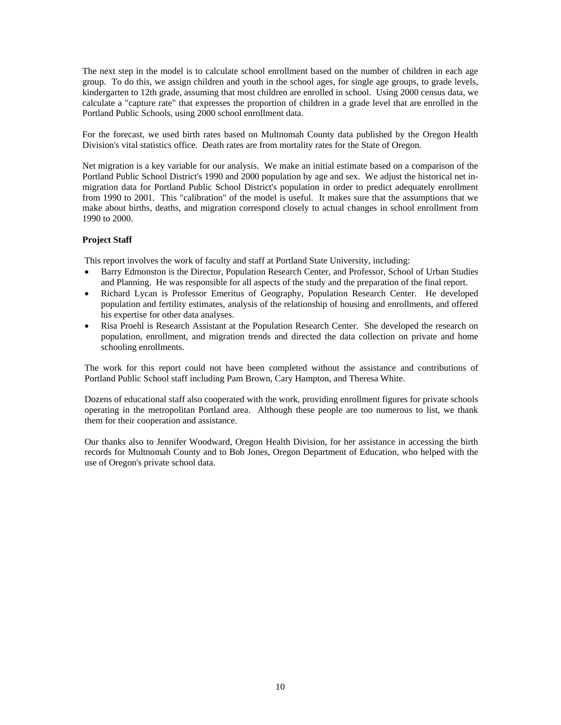The next step in the model is to calculate school enrollment based on the number of children in each age group. To do this, we assign children and youth in the school ages, for single age groups, to grade levels, kindergarten to 12th grade, assuming that most children are enrolled in school. Using 2000 census data, we calculate a "capture rate" that expresses the proportion of children in a grade level that are enrolled in the Portland Public Schools, using 2000 school enrollment data.

For the forecast, we used birth rates based on Multnomah County data published by the Oregon Health Division's vital statistics office. Death rates are from mortality rates for the State of Oregon.

Net migration is a key variable for our analysis. We make an initial estimate based on a comparison of the Portland Public School District's 1990 and 2000 population by age and sex. We adjust the historical net inmigration data for Portland Public School District's population in order to predict adequately enrollment from 1990 to 2001. This "calibration" of the model is useful. It makes sure that the assumptions that we make about births, deaths, and migration correspond closely to actual changes in school enrollment from 1990 to 2000.

#### **Project Staff**

This report involves the work of faculty and staff at Portland State University, including:

- Barry Edmonston is the Director, Population Research Center, and Professor, School of Urban Studies and Planning. He was responsible for all aspects of the study and the preparation of the final report.
- Richard Lycan is Professor Emeritus of Geography, Population Research Center. He developed population and fertility estimates, analysis of the relationship of housing and enrollments, and offered his expertise for other data analyses.
- Risa Proehl is Research Assistant at the Population Research Center. She developed the research on population, enrollment, and migration trends and directed the data collection on private and home schooling enrollments.

The work for this report could not have been completed without the assistance and contributions of Portland Public School staff including Pam Brown, Cary Hampton, and Theresa White.

Dozens of educational staff also cooperated with the work, providing enrollment figures for private schools operating in the metropolitan Portland area. Although these people are too numerous to list, we thank them for their cooperation and assistance.

Our thanks also to Jennifer Woodward, Oregon Health Division, for her assistance in accessing the birth records for Multnomah County and to Bob Jones, Oregon Department of Education, who helped with the use of Oregon's private school data.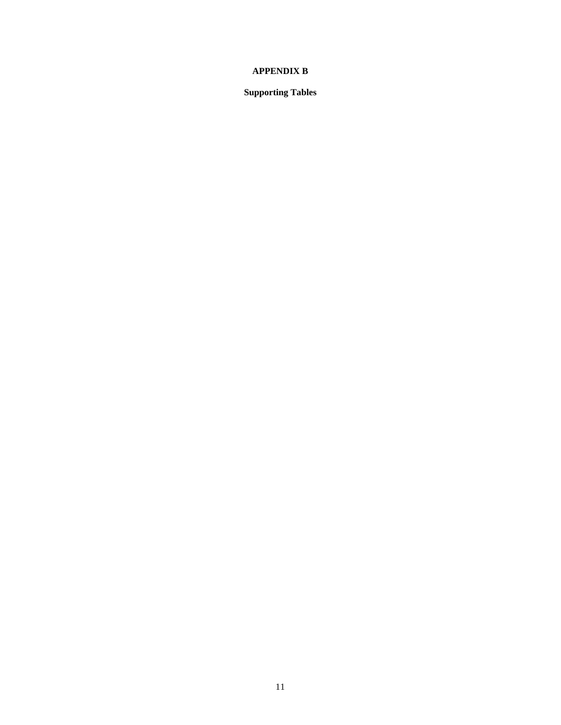## **APPENDIX B**

**Supporting Tables**